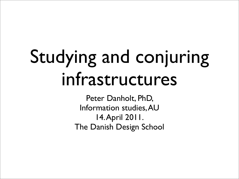# Studying and conjuring infrastructures

Peter Danholt, PhD, Information studies, AU 14. April 2011. The Danish Design School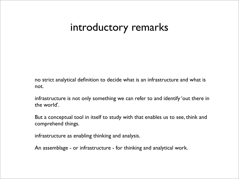### introductory remarks

no strict analytical definition to decide what is an infrastructure and what is not.

infrastructure is not only something we can refer to and identify 'out there in the world'.

But a conceptual tool in itself to study with that enables us to see, think and comprehend things.

infrastructure as enabling thinking and analysis.

An assemblage - or infrastructure - for thinking and analytical work.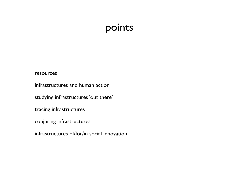### points

#### resources

infrastructures and human action

studying infrastructures 'out there'

tracing infrastructures

conjuring infrastructures

infrastructures of/for/in social innovation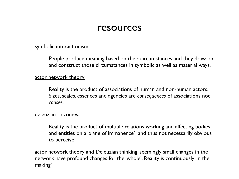### resources

#### symbolic interactionism:

People produce meaning based on their circumstances and they draw on and construct those circumstances in symbolic as well as material ways.

#### actor network theory:

Reality is the product of associations of human and non-human actors. Sizes, scales, essences and agencies are *consequences* of associations not *causes*.

#### deleuzian rhizomes:

Reality is the product of multiple relations working and affecting bodies and entities on a 'plane of immanence' and thus not necessarily obvious to perceive.

actor network theory and Deleuzian thinking: seemingly small changes in the network have profound changes for the 'whole'. Reality is continuously 'in the making'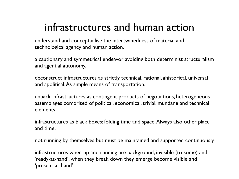### infrastructures and human action

understand and conceptualise the intertwinedness of material and technological agency and human action.

a cautionary and symmetrical endeavor avoiding both determinist structuralism and agential autonomy.

deconstruct infrastructures as strictly technical, rational, ahistorical, universal and apolitical. As simple means of transportation.

unpack infrastructures as contingent products of negotiations, heterogeneous assemblages comprised of political, economical, trivial, mundane and technical elements.

infrastructures as black boxes: folding time and space. Always also other place and time.

not running by themselves but must be maintained and supported continuously.

infrastructures when up and running are background, invisible (to some) and 'ready-at-hand', when they break down they emerge become visible and 'present-at-hand'.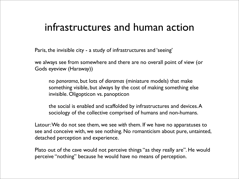### infrastructures and human action

Paris, the invisible city - a study of infrastructures and 'seeing'

we always see from somewhere and there are no overall point of view (or Gods eyeview (Haraway))

no *panorama*, but lots of *dioramas* (miniature models) that make something visible, but always by the cost of making something else invisible. Oligopticon vs. panopticon

the social is enabled and scaffolded by infrastructures and devices. A sociology of the collective comprised of humans and non-humans.

Latour: We do not see them, we see *with* them. If we have no apparatuses to see and conceive with, we see nothing. No romanticism about pure, untainted, detached perception and experience.

Plato out of the cave would not perceive things "as they really are". He would perceive "nothing" because he would have no means of perception.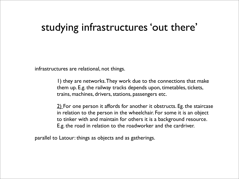### studying infrastructures 'out there'

infrastructures are relational, not things.

1) they are networks. They work due to the connections that make them up. E.g. the railway tracks depends upon, timetables, tickets, trains, machines, drivers, stations, passengers etc.

2) For one person it affords for another it obstructs. Eg. the staircase in relation to the person in the wheelchair. For some it is an object to tinker with and maintain for others it is a background resource. E.g. the road in relation to the roadworker and the cardriver.

parallel to Latour: things as objects and as gatherings.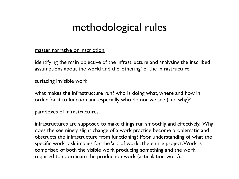# methodological rules

#### master narrative or inscription.

identifying the main objective of the infrastructure and analysing the inscribed assumptions about the world and the 'othering' of the infrastructure.

#### surfacing invisible work.

what makes the infrastructure run? who is doing what, where and how in order for it to function and especially who do not we see (and why)?

#### paradoxes of infrastructures.

infrastructures are supposed to make things run smoothly and effectively. Why does the seemingly slight change of a work practice become problematic and obstructs the infrastructure from functioning? Poor understanding of what the specific work task implies for the 'arc of work': the entire project. Work is comprised of both the visible work producing something and the work required to coordinate the production work (articulation work).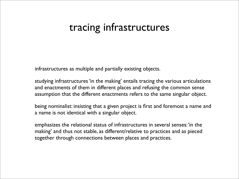### tracing infrastructures

infrastructures as multiple and partially existing objects.

studying infrastructures 'in the making' entails tracing the various articulations and enactments of them in different places and refusing the common sense assumption that the different enactments refers to the same singular object.

being nominalist: insisting that a given project is first and foremost a name and a name is not identical with a singular object.

emphasizes the relational status of infrastructures in several senses: 'in the making' and thus not stable, as different/relative to practices and as pieced together through connections between places and practices.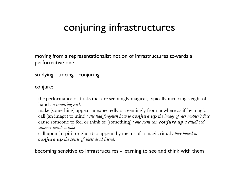# conjuring infrastructures

moving from a representationalist notion of infrastructures towards a performative one.

studying - tracing - conjuring

#### conjure:

the performance of tricks that are seemingly magical, typically involving sleight of hand : *a conjuring trick.*

make (something) appear unexpectedly or seemingly from nowhere as if by magic call (an image) to mind *: she had forgotten how to conjure up the image of her mother's face.* cause someone to feel or think of (something) *: one scent can conjure up a childhood summer beside a lake.*

call upon (a spirit or ghost) to appear, by means of a magic ritual *: they hoped to conjure up the spirit of their dead friend.*

becoming sensitive to infrastructures - learning to see and think with them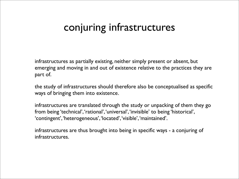### conjuring infrastructures

infrastructures as partially existing, neither simply present or absent, but emerging and moving in and out of existence relative to the practices they are part of.

the study of infrastructures should therefore also be conceptualised as specific ways of bringing them into existence.

infrastructures are translated through the study or unpacking of them they go from being 'technical', 'rational', 'universal', 'invisible' to being 'historical', 'contingent', 'heterogeneous', 'located', 'visible', 'maintained'.

infrastructures are thus brought into being in specific ways - a conjuring of infrastructures.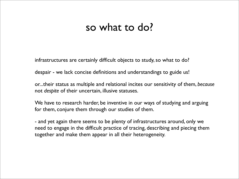### so what to do?

infrastructures are certainly difficult objects to study, so what to do?

despair - we lack concise definitions and understandings to guide us!

or...their status as multiple and relational incites our sensitivity of them, *because* not *despite* of their uncertain, illusive statuses.

We have to research harder, be inventive in our ways of studying and arguing for them, conjure them through our studies of them.

- and yet again there seems to be plenty of infrastructures around, only we need to engage in the difficult practice of tracing, describing and piecing them together and make them appear in all their heterogeneity.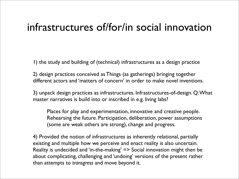### infrastructures of/for/in social innovation

1) the study and building of (technical) infrastructures as a design practice

2) design practices conceived as Things (as gatherings) bringing together different actors and 'matters of concern' in order to make novel inventions.

3) unpack design practices as infrastructures. Infrastructures-of-design. Q: What master narratives is build into or inscribed in e.g. living labs?

Places for play and experimentation, innovative and creative people. Rehearsing the future. Participation, deliberation, power assumptions (some are weak others are strong), change and progress.

4) Provided the notion of infrastructures as inherently relational, partially existing and multiple how we perceive and enact reality is also uncertain. Reality is undecided and 'in-the-making' => Social innovation might then be about complicating, challenging and 'undoing' versions of the present rather than attempts to *transgress* and move beyond it.